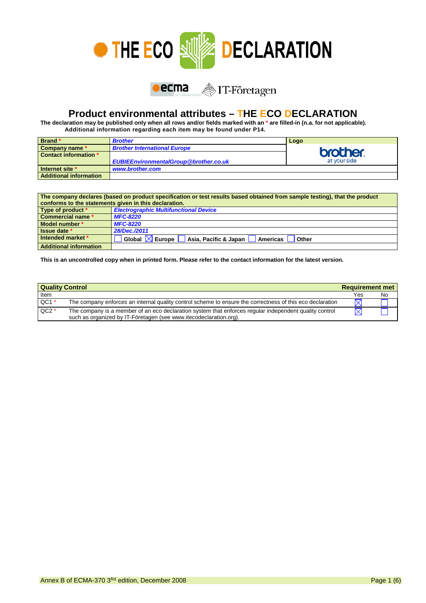



## **Product environmental attributes – THE ECO DECLARATION**

**The declaration may be published only when all rows and/or fields marked with an \* are filled-in (n.a. for not applicable). Additional information regarding each item may be found under P14.**

| Brand*                        | <b>Brother</b>                               | Logo            |
|-------------------------------|----------------------------------------------|-----------------|
| Company name *                | <b>Brother International Europe</b>          |                 |
| Contact information *         |                                              | <b>brother.</b> |
|                               | <b>EUBIEEnvironmentalGroup@brother.co.uk</b> | at your side    |
| Internet site *               | www.brother.com                              |                 |
| <b>Additional information</b> |                                              |                 |

| The company declares (based on product specification or test results based obtained from sample testing), that the product<br>conforms to the statements given in this declaration. |                                                                         |  |  |  |
|-------------------------------------------------------------------------------------------------------------------------------------------------------------------------------------|-------------------------------------------------------------------------|--|--|--|
| Type of product *                                                                                                                                                                   | <b>Electrographic Multifunctional Device</b>                            |  |  |  |
| Commercial name *                                                                                                                                                                   | <b>MFC-8220</b>                                                         |  |  |  |
| Model number *                                                                                                                                                                      | <b>MFC-8220</b>                                                         |  |  |  |
| Issue date *                                                                                                                                                                        | 28/Dec./2011                                                            |  |  |  |
| Intended market *                                                                                                                                                                   | Global $\boxtimes$ Europe<br>Asia, Pacific & Japan<br>Americas<br>Other |  |  |  |
| <b>Additional information</b>                                                                                                                                                       |                                                                         |  |  |  |

**This is an uncontrolled copy when in printed form. Please refer to the contact information for the latest version.**

| <b>Quality Control</b> |                                                                                                                                                                             |             | <b>Requirement met</b> |  |
|------------------------|-----------------------------------------------------------------------------------------------------------------------------------------------------------------------------|-------------|------------------------|--|
| Item                   |                                                                                                                                                                             | Yes         | No                     |  |
| $QC1$ *                | The company enforces an internal quality control scheme to ensure the correctness of this eco declaration                                                                   | $\boxtimes$ |                        |  |
| $QC2*$                 | The company is a member of an eco declaration system that enforces regular independent quality control<br>such as organized by IT-Företagen (see www.itecodeclaration.org). | $\boxtimes$ |                        |  |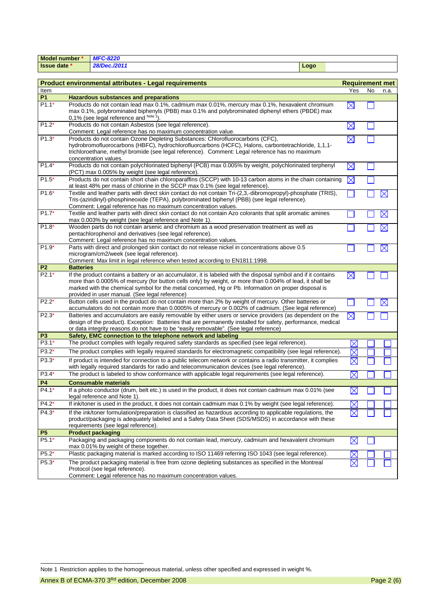| <b>Model number *</b> |                                                                                                                                                                                                                                                                                                                  | <b>MFC-8220</b>                                                                                                                                                                                                                                                                                                                                                                      |             |                        |    |                   |
|-----------------------|------------------------------------------------------------------------------------------------------------------------------------------------------------------------------------------------------------------------------------------------------------------------------------------------------------------|--------------------------------------------------------------------------------------------------------------------------------------------------------------------------------------------------------------------------------------------------------------------------------------------------------------------------------------------------------------------------------------|-------------|------------------------|----|-------------------|
| <b>Issue date *</b>   |                                                                                                                                                                                                                                                                                                                  | 28/Dec./2011                                                                                                                                                                                                                                                                                                                                                                         | Logo        |                        |    |                   |
|                       |                                                                                                                                                                                                                                                                                                                  |                                                                                                                                                                                                                                                                                                                                                                                      |             |                        |    |                   |
|                       |                                                                                                                                                                                                                                                                                                                  | <b>Product environmental attributes - Legal requirements</b>                                                                                                                                                                                                                                                                                                                         |             | <b>Requirement met</b> |    |                   |
| Item                  |                                                                                                                                                                                                                                                                                                                  |                                                                                                                                                                                                                                                                                                                                                                                      |             | Yes                    | No | n.a.              |
| <b>P1</b>             |                                                                                                                                                                                                                                                                                                                  | <b>Hazardous substances and preparations</b>                                                                                                                                                                                                                                                                                                                                         |             |                        |    |                   |
| $P1.1*$               | Products do not contain lead max 0.1%, cadmium max 0.01%, mercury max 0.1%, hexavalent chromium<br>max 0.1%, polybrominated biphenyls (PBB) max 0.1% and polybrominated diphenyl ethers (PBDE) max<br>0,1% (see legal reference and Note 1).                                                                     |                                                                                                                                                                                                                                                                                                                                                                                      |             | $\boxtimes$            |    |                   |
| $P1.2*$               | Products do not contain Asbestos (see legal reference).<br>Comment: Legal reference has no maximum concentration value.                                                                                                                                                                                          |                                                                                                                                                                                                                                                                                                                                                                                      | $\boxtimes$ |                        |    |                   |
| $P1.3*$               | Products do not contain Ozone Depleting Substances: Chlorofluorocarbons (CFC),<br>hydrobromofluorocarbons (HBFC), hydrochlorofluorcarbons (HCFC), Halons, carbontetrachloride, 1,1,1-<br>trichloroethane, methyl bromide (see legal reference). Comment: Legal reference has no maximum<br>concentration values. |                                                                                                                                                                                                                                                                                                                                                                                      | $\boxtimes$ |                        |    |                   |
| $P1.4*$               |                                                                                                                                                                                                                                                                                                                  | Products do not contain polychlorinated biphenyl (PCB) max 0.005% by weight, polychlorinated terphenyl<br>(PCT) max 0.005% by weight (see legal reference).                                                                                                                                                                                                                          |             | $\boxtimes$            |    |                   |
| $P1.5*$               |                                                                                                                                                                                                                                                                                                                  | Products do not contain short chain chloroparaffins (SCCP) with 10-13 carbon atoms in the chain containing<br>at least 48% per mass of chlorine in the SCCP max 0.1% (see legal reference).                                                                                                                                                                                          |             | $\times$               |    |                   |
| $P1.6*$               |                                                                                                                                                                                                                                                                                                                  | Textile and leather parts with direct skin contact do not contain Tri-(2,3,-dibromopropyl)-phosphate (TRIS),<br>Tris-(aziridinyl)-phosphineoxide (TEPA), polybrominated biphenyl (PBB) (see legal reference).<br>Comment: Legal reference has no maximum concentration values.                                                                                                       |             |                        |    | Х                 |
| $P1.7*$               |                                                                                                                                                                                                                                                                                                                  | Textile and leather parts with direct skin contact do not contain Azo colorants that split aromatic amines<br>max 0.003% by weight (see legal reference and Note 1).                                                                                                                                                                                                                 |             |                        |    | $\boxtimes$       |
| $P1.8*$               |                                                                                                                                                                                                                                                                                                                  | Wooden parts do not contain arsenic and chromium as a wood preservation treatment as well as<br>pentachlorophenol and derivatives (see legal reference).<br>Comment: Legal reference has no maximum concentration values.                                                                                                                                                            |             |                        |    | $\bm{\mathsf{X}}$ |
| $P1.9*$               |                                                                                                                                                                                                                                                                                                                  | Parts with direct and prolonged skin contact do not release nickel in concentrations above 0.5<br>microgram/cm2/week (see legal reference).<br>Comment: Max limit in legal reference when tested according to EN1811:1998.                                                                                                                                                           |             |                        |    | $\boxtimes$       |
| P <sub>2</sub>        | <b>Batteries</b>                                                                                                                                                                                                                                                                                                 |                                                                                                                                                                                                                                                                                                                                                                                      |             |                        |    |                   |
| $P2.1*$               |                                                                                                                                                                                                                                                                                                                  | If the product contains a battery or an accumulator, it is labeled with the disposal symbol and if it contains<br>more than 0.0005% of mercury (for button cells only) by weight, or more than 0.004% of lead, it shall be<br>marked with the chemical symbol for the metal concerned, Hg or Pb. Information on proper disposal is<br>provided in user manual. (See legal reference) |             | $\times$               |    |                   |
| $P2.2*$               |                                                                                                                                                                                                                                                                                                                  | Button cells used in the product do not contain more than 2% by weight of mercury. Other batteries or<br>accumulators do not contain more than 0.0005% of mercury or 0.002% of cadmium. (See legal reference)                                                                                                                                                                        |             |                        |    | X                 |
| $P2.3*$               |                                                                                                                                                                                                                                                                                                                  | Batteries and accumulators are easily removable by either users or service providers (as dependent on the<br>design of the product). Exception: Batteries that are permanently installed for safety, performance, medical<br>or data integrity reasons do not have to be "easily removable". (See legal reference)                                                                   |             | $\boxtimes$            |    |                   |
| P <sub>3</sub>        |                                                                                                                                                                                                                                                                                                                  | Safety, EMC connection to the telephone network and labeling                                                                                                                                                                                                                                                                                                                         |             |                        |    |                   |
| $P3.1*$               |                                                                                                                                                                                                                                                                                                                  | The product complies with legally required safety standards as specified (see legal reference).                                                                                                                                                                                                                                                                                      |             | $\boxtimes$            |    |                   |
| P3.2*                 |                                                                                                                                                                                                                                                                                                                  | The product complies with legally required standards for electromagnetic compatibility (see legal reference).                                                                                                                                                                                                                                                                        |             | $\boxtimes$            |    |                   |
| P3.3*                 |                                                                                                                                                                                                                                                                                                                  | If product is intended for connection to a public telecom network or contains a radio transmitter, it complies<br>with legally required standards for radio and telecommunication devices (see legal reference).                                                                                                                                                                     |             | $\boxtimes$            |    |                   |
| $P3.4*$               |                                                                                                                                                                                                                                                                                                                  | The product is labeled to show conformance with applicable legal requirements (see legal reference).                                                                                                                                                                                                                                                                                 |             | $\boxtimes$            |    |                   |
| <b>P4</b>             |                                                                                                                                                                                                                                                                                                                  | <b>Consumable materials</b>                                                                                                                                                                                                                                                                                                                                                          |             |                        |    |                   |
| $P4.1*$               |                                                                                                                                                                                                                                                                                                                  | If a photo conductor (drum, belt etc.) is used in the product, it does not contain cadmium max 0.01% (see<br>legal reference and Note 1).                                                                                                                                                                                                                                            |             |                        |    |                   |
| $P4.2*$               |                                                                                                                                                                                                                                                                                                                  | If ink/toner is used in the product, it does not contain cadmium max 0.1% by weight (see legal reference).                                                                                                                                                                                                                                                                           |             |                        |    |                   |
| $P4.3*$               | If the ink/toner formulation/preparation is classified as hazardous according to applicable regulations, the<br>product/packaging is adequately labeled and a Safety Data Sheet (SDS/MSDS) in accordance with these<br>requirements (see legal reference).                                                       |                                                                                                                                                                                                                                                                                                                                                                                      |             |                        |    |                   |
| <b>P5</b>             |                                                                                                                                                                                                                                                                                                                  | <b>Product packaging</b>                                                                                                                                                                                                                                                                                                                                                             |             |                        |    |                   |
| P5.1*                 |                                                                                                                                                                                                                                                                                                                  | Packaging and packaging components do not contain lead, mercury, cadmium and hexavalent chromium<br>max 0.01% by weight of these together.                                                                                                                                                                                                                                           |             | $\boxtimes$            |    |                   |
| $P5.2*$               | Plastic packaging material is marked according to ISO 11469 referring ISO 1043 (see legal reference).                                                                                                                                                                                                            |                                                                                                                                                                                                                                                                                                                                                                                      |             |                        |    |                   |
| P5.3*                 | The product packaging material is free from ozone depleting substances as specified in the Montreal<br>Protocol (see legal reference).<br>Comment: Legal reference has no maximum concentration values.                                                                                                          |                                                                                                                                                                                                                                                                                                                                                                                      |             |                        |    |                   |

-

Note 1 Restriction applies to the homogeneous material, unless other specified and expressed in weight %.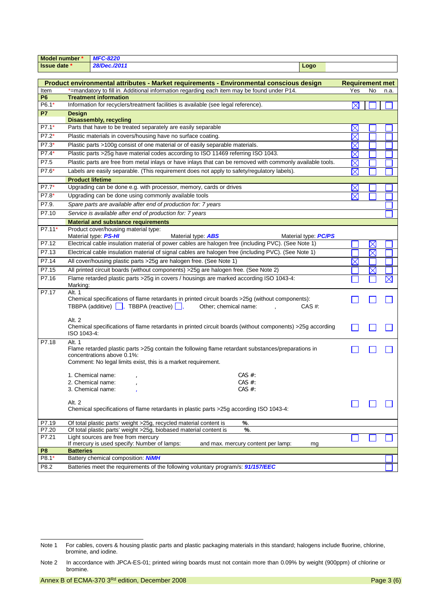| Model number *      |                                                                         | <b>MFC-8220</b>                                                                                                                                                                                   |                             |                        |             |      |
|---------------------|-------------------------------------------------------------------------|---------------------------------------------------------------------------------------------------------------------------------------------------------------------------------------------------|-----------------------------|------------------------|-------------|------|
| <b>Issue date *</b> |                                                                         | 28/Dec./2011                                                                                                                                                                                      | Logo                        |                        |             |      |
|                     |                                                                         |                                                                                                                                                                                                   |                             |                        |             |      |
|                     |                                                                         | Product environmental attributes - Market requirements - Environmental conscious design                                                                                                           |                             | <b>Requirement met</b> |             |      |
| Item                |                                                                         | *=mandatory to fill in. Additional information regarding each item may be found under P14.                                                                                                        |                             | Yes                    | No          | n.a. |
| P <sub>6</sub>      |                                                                         | <b>Treatment information</b>                                                                                                                                                                      |                             |                        |             |      |
| P6.1*               |                                                                         | Information for recyclers/treatment facilities is available (see legal reference).                                                                                                                |                             | $\boxtimes$            |             |      |
| P7                  | <b>Design</b>                                                           | <b>Disassembly, recycling</b>                                                                                                                                                                     |                             |                        |             |      |
| P7.1*               |                                                                         | Parts that have to be treated separately are easily separable                                                                                                                                     |                             | $\times$               |             |      |
| $P7.2*$             |                                                                         | Plastic materials in covers/housing have no surface coating.                                                                                                                                      |                             | $\times$               |             |      |
| P7.3*               |                                                                         | Plastic parts >100g consist of one material or of easily separable materials.                                                                                                                     |                             | $\times$               |             |      |
| P7.4*               |                                                                         | Plastic parts >25g have material codes according to ISO 11469 referring ISO 1043.                                                                                                                 |                             | $\times$               |             |      |
| P7.5                |                                                                         | Plastic parts are free from metal inlays or have inlays that can be removed with commonly available tools.                                                                                        |                             | $\boxtimes$            |             |      |
| P7.6*               |                                                                         | Labels are easily separable. (This requirement does not apply to safety/regulatory labels).                                                                                                       |                             | $\boxtimes$            |             |      |
|                     | <b>Product lifetime</b>                                                 |                                                                                                                                                                                                   |                             |                        |             |      |
| P7.7*               |                                                                         | Upgrading can be done e.g. with processor, memory, cards or drives                                                                                                                                |                             |                        |             |      |
| P7.8*               |                                                                         | Upgrading can be done using commonly available tools                                                                                                                                              |                             | $\boxtimes$            |             |      |
| P7.9.               |                                                                         | Spare parts are available after end of production for: 7 years                                                                                                                                    |                             |                        |             |      |
| P7.10               |                                                                         | Service is available after end of production for: 7 years                                                                                                                                         |                             |                        |             |      |
|                     |                                                                         | <b>Material and substance requirements</b>                                                                                                                                                        |                             |                        |             |      |
| P7.11*              |                                                                         | Product cover/housing material type:                                                                                                                                                              |                             |                        |             |      |
|                     |                                                                         | Material type <b>PS-HI</b><br>Material type: <b>ABS</b>                                                                                                                                           | Material type: <b>PC/PS</b> |                        |             |      |
| P7.12               |                                                                         | Electrical cable insulation material of power cables are halogen free (including PVC). (See Note 1)                                                                                               |                             |                        | $\boxtimes$ |      |
| P7.13               |                                                                         | Electrical cable insulation material of signal cables are halogen free (including PVC). (See Note 1)                                                                                              |                             |                        | $\boxtimes$ |      |
| P7.14               |                                                                         | All cover/housing plastic parts > 25g are halogen free. (See Note 1)                                                                                                                              |                             | X                      |             |      |
| P7.15               |                                                                         | All printed circuit boards (without components) > 25g are halogen free. (See Note 2)                                                                                                              |                             |                        |             |      |
| P7.16               | Marking:                                                                | Flame retarded plastic parts > 25g in covers / housings are marked according ISO 1043-4:                                                                                                          |                             |                        |             | X    |
| P7.17               | Alt. 1                                                                  | Chemical specifications of flame retardants in printed circuit boards >25g (without components):<br>TBBPA (additive) $\Box$ , TBBPA (reactive) $\Box$ ,<br>Other; chemical name:                  | CAS #:                      |                        |             |      |
|                     | Alt. 2<br>ISO 1043-4:                                                   | Chemical specifications of flame retardants in printed circuit boards (without components) >25g according                                                                                         |                             |                        |             |      |
| P7.18               | Alt. 1                                                                  | Flame retarded plastic parts >25g contain the following flame retardant substances/preparations in<br>concentrations above 0.1%:<br>Comment: No legal limits exist, this is a market requirement. |                             |                        |             |      |
|                     |                                                                         | CAS $#$ :<br>1. Chemical name:                                                                                                                                                                    |                             |                        |             |      |
|                     |                                                                         | 2. Chemical name:<br>CAS #:                                                                                                                                                                       |                             |                        |             |      |
|                     |                                                                         | 3. Chemical name:<br>CAS $#$ :                                                                                                                                                                    |                             |                        |             |      |
|                     | Alt. 2                                                                  |                                                                                                                                                                                                   |                             |                        |             |      |
|                     |                                                                         | Chemical specifications of flame retardants in plastic parts > 25g according ISO 1043-4:                                                                                                          |                             |                        |             |      |
| P7.19               | %.<br>Of total plastic parts' weight >25g, recycled material content is |                                                                                                                                                                                                   |                             |                        |             |      |
| P7.20               |                                                                         | Of total plastic parts' weight >25g, biobased material content is<br>%.                                                                                                                           |                             |                        |             |      |
| P7.21               | Light sources are free from mercury                                     |                                                                                                                                                                                                   |                             |                        |             |      |
| P <sub>8</sub>      | <b>Batteries</b>                                                        | If mercury is used specify: Number of lamps:<br>and max. mercury content per lamp:                                                                                                                | mg                          |                        |             |      |
| P8.1*               |                                                                         | Battery chemical composition: NiMH                                                                                                                                                                |                             |                        |             |      |
| P8.2                |                                                                         | Batteries meet the requirements of the following voluntary program/s: 91/157/EEC                                                                                                                  |                             |                        |             |      |
|                     |                                                                         |                                                                                                                                                                                                   |                             |                        |             |      |

Note 1 Note 1 For cables, covers & housing plastic parts and plastic packaging materials in this standard; halogens include fluorine, chlorine, bromine, and iodine.

Note 2 In accordance with JPCA-ES-01; printed wiring boards must not contain more than 0.09% by weight (900ppm) of chlorine or bromine.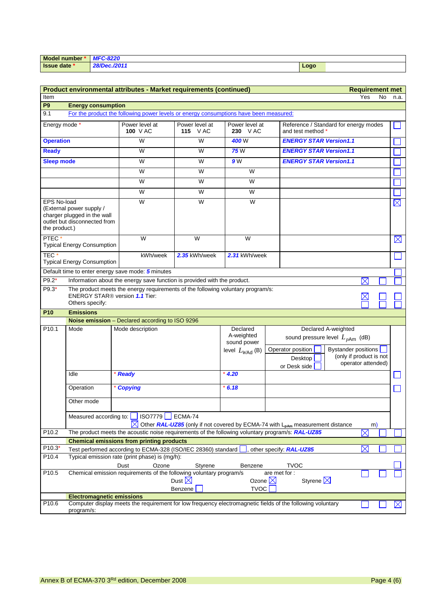| Model number * | <b>MFC-8220</b> |      |
|----------------|-----------------|------|
| I Issue date * | 28/Dec./2011    | Logo |

|                                     |                                                                                                                                                      | Product environmental attributes - Market requirements (continued)                    |                                  |                            | <b>Requirement met</b>                                                                                                    |  |
|-------------------------------------|------------------------------------------------------------------------------------------------------------------------------------------------------|---------------------------------------------------------------------------------------|----------------------------------|----------------------------|---------------------------------------------------------------------------------------------------------------------------|--|
| Item                                |                                                                                                                                                      |                                                                                       |                                  |                            | Yes<br>No<br>n.a.                                                                                                         |  |
| P <sub>9</sub>                      | <b>Energy consumption</b>                                                                                                                            |                                                                                       |                                  |                            |                                                                                                                           |  |
| 9.1                                 |                                                                                                                                                      | For the product the following power levels or energy consumptions have been measured: |                                  |                            |                                                                                                                           |  |
| Energy mode *                       |                                                                                                                                                      | Power level at<br>100 V AC                                                            | Power level at<br><b>115</b> VAC | Power level at<br>230 VAC  | Reference / Standard for energy modes<br>and test method *                                                                |  |
| <b>Operation</b>                    |                                                                                                                                                      | W                                                                                     | $\overline{\mathsf{W}}$          | 400W                       | <b>ENERGY STAR Version1.1</b>                                                                                             |  |
| <b>Ready</b>                        |                                                                                                                                                      | W                                                                                     | W                                | <b>75</b> W                | <b>ENERGY STAR Version1.1</b>                                                                                             |  |
| <b>Sleep mode</b>                   |                                                                                                                                                      | W                                                                                     | W                                | 9 W                        | <b>ENERGY STAR Version1.1</b>                                                                                             |  |
|                                     |                                                                                                                                                      | W                                                                                     | W                                | W                          |                                                                                                                           |  |
|                                     |                                                                                                                                                      | W                                                                                     | W                                | W                          |                                                                                                                           |  |
|                                     |                                                                                                                                                      | W                                                                                     | W                                | W                          |                                                                                                                           |  |
| <b>EPS No-load</b><br>the product.) | (External power supply /<br>charger plugged in the wall<br>outlet but disconnected from                                                              | W                                                                                     | W                                | W                          | $\boxtimes$                                                                                                               |  |
| PTEC <sup>*</sup>                   | <b>Typical Energy Consumption</b>                                                                                                                    | W                                                                                     | W                                | W                          | $\boxtimes$                                                                                                               |  |
| TEC <sup>*</sup>                    | <b>Typical Energy Consumption</b>                                                                                                                    | kWh/week                                                                              | 2.35 kWh/week                    | 2.31 kWh/week              |                                                                                                                           |  |
|                                     |                                                                                                                                                      | Default time to enter energy save mode: 5 minutes                                     |                                  |                            |                                                                                                                           |  |
| $P9.2*$                             |                                                                                                                                                      | Information about the energy save function is provided with the product.              |                                  |                            | $\times$                                                                                                                  |  |
| $P9.3*$                             | <b>ENERGY STAR® version 1.1 Tier:</b>                                                                                                                | The product meets the energy requirements of the following voluntary program/s:       |                                  |                            |                                                                                                                           |  |
|                                     | Others specify:                                                                                                                                      |                                                                                       |                                  |                            |                                                                                                                           |  |
| P <sub>10</sub>                     | <b>Emissions</b>                                                                                                                                     |                                                                                       |                                  |                            |                                                                                                                           |  |
|                                     |                                                                                                                                                      | Noise emission - Declared according to ISO 9296                                       |                                  |                            |                                                                                                                           |  |
| P <sub>10.1</sub>                   | Mode                                                                                                                                                 | Mode description                                                                      |                                  | Declared<br>A-weighted     | Declared A-weighted<br>sound pressure level $L_{pAm}$ (dB)                                                                |  |
|                                     |                                                                                                                                                      |                                                                                       |                                  | sound power                |                                                                                                                           |  |
|                                     |                                                                                                                                                      |                                                                                       |                                  | level $L_{W\text{Ad}}$ (B) | Operator position<br><b>Bystander positions</b><br>(only if product is not                                                |  |
|                                     |                                                                                                                                                      |                                                                                       |                                  |                            | Desktop<br>operator attended)                                                                                             |  |
|                                     | Idle                                                                                                                                                 | * Ready                                                                               |                                  | $*4.20$                    | or Desk side                                                                                                              |  |
|                                     |                                                                                                                                                      |                                                                                       |                                  |                            |                                                                                                                           |  |
|                                     | Operation                                                                                                                                            | * Copying                                                                             |                                  | $*6.18$                    |                                                                                                                           |  |
|                                     | Other mode                                                                                                                                           |                                                                                       |                                  |                            |                                                                                                                           |  |
|                                     |                                                                                                                                                      | Measured according to:   ISO7779<br>$\blacksquare$                                    | ECMA-74                          |                            |                                                                                                                           |  |
| P <sub>10.2</sub>                   |                                                                                                                                                      |                                                                                       |                                  |                            | Other RAL-UZ85 (only if not covered by ECMA-74 with L <sub>pAm</sub> measurement distance<br>m)<br>$\boxtimes$            |  |
|                                     | The product meets the acoustic noise requirements of the following voluntary program/s: RAL-UZ85<br><b>Chemical emissions from printing products</b> |                                                                                       |                                  |                            |                                                                                                                           |  |
| $P10.3*$                            | $\times$<br>Test performed according to ECMA-328 (ISO/IEC 28360) standard<br>other specify: RAL-UZ85                                                 |                                                                                       |                                  |                            |                                                                                                                           |  |
| P10.4                               | Typical emission rate (print phase) is (mg/h):                                                                                                       |                                                                                       |                                  |                            |                                                                                                                           |  |
|                                     | <b>TVOC</b><br>Ozone<br>Dust<br>Styrene<br>Benzene                                                                                                   |                                                                                       |                                  |                            |                                                                                                                           |  |
| P10.5                               | Chemical emission requirements of the following voluntary program/s<br>are met for :                                                                 |                                                                                       |                                  |                            |                                                                                                                           |  |
|                                     | Styrene $\times$<br>Dust $\boxtimes$<br>Ozone $\boxtimes$                                                                                            |                                                                                       |                                  |                            |                                                                                                                           |  |
|                                     |                                                                                                                                                      |                                                                                       | Benzene                          | <b>TVOC</b>                |                                                                                                                           |  |
| P <sub>10.6</sub>                   | <b>Electromagnetic emissions</b>                                                                                                                     |                                                                                       |                                  |                            | Computer display meets the requirement for low frequency electromagnetic fields of the following voluntary<br>$\boxtimes$ |  |
|                                     | program/s:                                                                                                                                           |                                                                                       |                                  |                            |                                                                                                                           |  |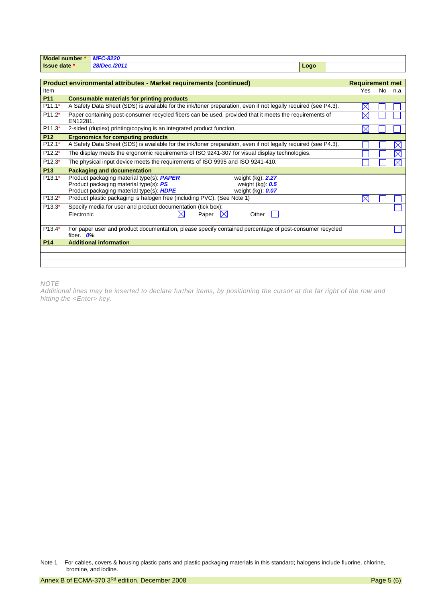| Model number *      | <b>MFC-8220</b> |      |  |
|---------------------|-----------------|------|--|
| <b>Issue date</b> * | 28/Dec./2011    | Logo |  |

|                 | Product environmental attributes - Market requirements (continued)                                                                                                                                                         | <b>Requirement met</b> |     |      |
|-----------------|----------------------------------------------------------------------------------------------------------------------------------------------------------------------------------------------------------------------------|------------------------|-----|------|
| Item            |                                                                                                                                                                                                                            | Yes.                   | No. | n.a. |
| P <sub>11</sub> | <b>Consumable materials for printing products</b>                                                                                                                                                                          |                        |     |      |
| $P11.1*$        | A Safety Data Sheet (SDS) is available for the ink/toner preparation, even if not legally required (see P4.3).                                                                                                             | $\times$               |     |      |
| $P11.2*$        | Paper containing post-consumer recycled fibers can be used, provided that it meets the requirements of<br>EN12281.                                                                                                         |                        |     |      |
| $P11.3*$        | 2-sided (duplex) printing/copying is an integrated product function.                                                                                                                                                       |                        |     |      |
| <b>P12</b>      | <b>Ergonomics for computing products</b>                                                                                                                                                                                   |                        |     |      |
| $P12.1*$        | A Safety Data Sheet (SDS) is available for the ink/toner preparation, even if not legally required (see P4.3).                                                                                                             |                        |     |      |
| $P12.2*$        | The display meets the ergonomic requirements of ISO 9241-307 for visual display technologies.                                                                                                                              |                        |     |      |
| $P12.3*$        | The physical input device meets the requirements of ISO 9995 and ISO 9241-410.                                                                                                                                             |                        |     |      |
| <b>P13</b>      | <b>Packaging and documentation</b>                                                                                                                                                                                         |                        |     |      |
| $P13.1*$        | Product packaging material type(s): <b>PAPER</b><br>weight $(kg)$ : $2.27$<br>Product packaging material type(s): PS<br>weight $(kq)$ : $0.5$<br>Product packaging material type(s): <b>HDPE</b><br>weight $(kg)$ : $0.07$ |                        |     |      |
| $P13.2*$        | Product plastic packaging is halogen free (including PVC). (See Note 1)                                                                                                                                                    | $\times$               |     |      |
| $P13.3*$        | Specify media for user and product documentation (tick box):<br>$\boxtimes$<br>Electronic<br>Paper<br>IXI<br>Other                                                                                                         |                        |     |      |
| $P13.4*$        | For paper user and product documentation, please specify contained percentage of post-consumer recycled<br>fiber. $O\%$                                                                                                    |                        |     |      |
| P <sub>14</sub> | <b>Additional information</b>                                                                                                                                                                                              |                        |     |      |
|                 |                                                                                                                                                                                                                            |                        |     |      |
|                 |                                                                                                                                                                                                                            |                        |     |      |

*NOTE*

*Additional lines may be inserted to declare further items, by positioning the cursor at the far right of the row and hitting the <Enter> key.*

Note 1 For cables, covers & housing plastic parts and plastic packaging materials in this standard; halogens include fluorine, chlorine, bromine, and iodine.